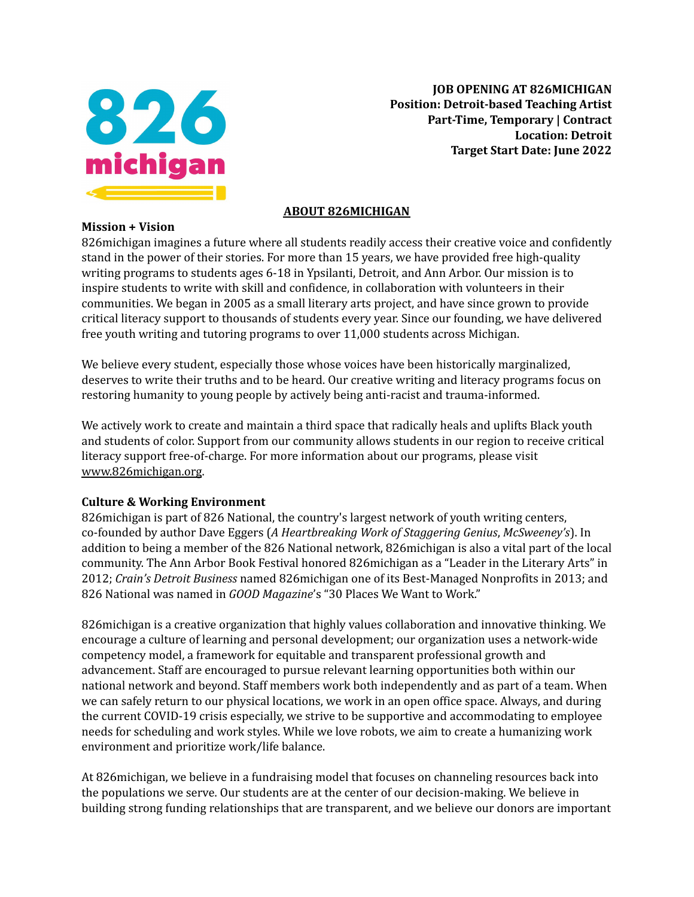

**Mission + Vision**

**JOB OPENING AT 826MICHIGAN Position: Detroit-based Teaching Artist Part-Time, Temporary | Contract Location: Detroit Target Start Date: June 2022**

# **ABOUT 826MICHIGAN**

826michigan imagines a future where all students readily access their creative voice and confidently stand in the power of their stories. For more than 15 years, we have provided free high-quality writing programs to students ages 6-18 in Ypsilanti, Detroit, and Ann Arbor. Our mission is to inspire students to write with skill and confidence, in collaboration with volunteers in their communities. We began in 2005 as a small literary arts project, and have since grown to provide critical literacy support to thousands of students every year. Since our founding, we have delivered free youth writing and tutoring programs to over 11,000 students across Michigan.

We believe every student, especially those whose voices have been historically marginalized, deserves to write their truths and to be heard. Our creative writing and literacy programs focus on restoring humanity to young people by actively being anti-racist and trauma-informed.

We actively work to create and maintain a third space that radically heals and uplifts Black youth and students of color. Support from our community allows students in our region to receive critical literacy support free-of-charge. For more information about our programs, please visit [www.826michigan.org](http://www.826michigan.org).

#### **Culture & Working Environment**

826michigan is part of 826 National, the country's largest network of youth writing centers, co-founded by author Dave Eggers (*A Heartbreaking Work of Staggering Genius*, *McSweeney's*). In addition to being a member of the 826 National network, 826michigan is also a vital part of the local community. The Ann Arbor Book Festival honored 826michigan as a "Leader in the Literary Arts" in 2012; *Crain's Detroit Business* named 826michigan one of its Best-Managed Nonprofits in 2013; and 826 National was named in *GOOD Magazine*'s "30 Places We Want to Work."

826michigan is a creative organization that highly values collaboration and innovative thinking. We encourage a culture of learning and personal development; our organization uses a network-wide competency model, a framework for equitable and transparent professional growth and advancement. Staff are encouraged to pursue relevant learning opportunities both within our national network and beyond. Staff members work both independently and as part of a team. When we can safely return to our physical locations, we work in an open office space. Always, and during the current COVID-19 crisis especially, we strive to be supportive and accommodating to employee needs for scheduling and work styles. While we love robots, we aim to create a humanizing work environment and prioritize work/life balance.

At 826michigan, we believe in a fundraising model that focuses on channeling resources back into the populations we serve. Our students are at the center of our decision-making. We believe in building strong funding relationships that are transparent, and we believe our donors are important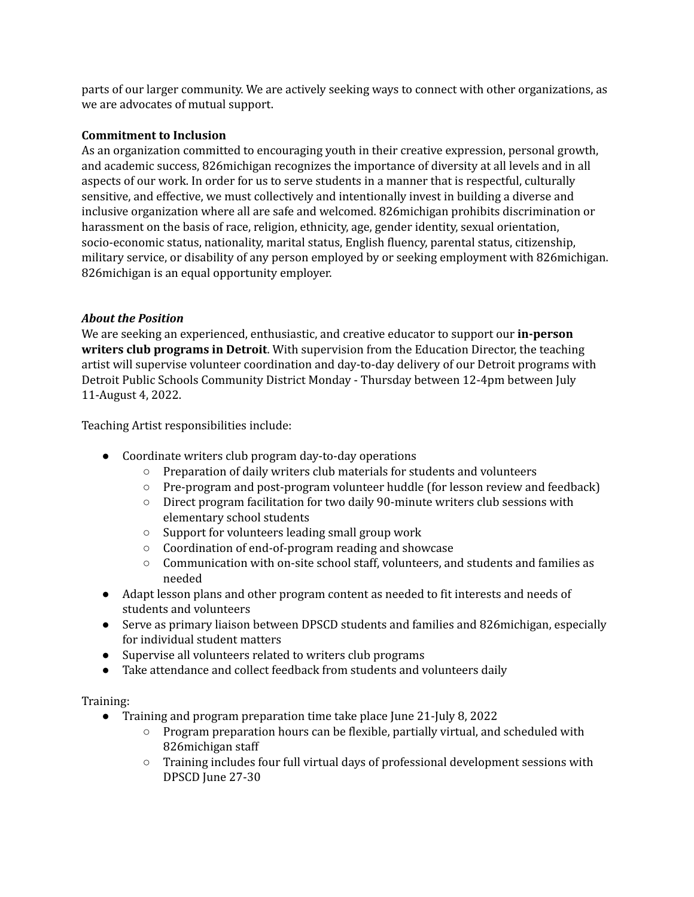parts of our larger community. We are actively seeking ways to connect with other organizations, as we are advocates of mutual support.

#### **Commitment to Inclusion**

As an organization committed to encouraging youth in their creative expression, personal growth, and academic success, 826michigan recognizes the importance of diversity at all levels and in all aspects of our work. In order for us to serve students in a manner that is respectful, culturally sensitive, and effective, we must collectively and intentionally invest in building a diverse and inclusive organization where all are safe and welcomed. 826michigan prohibits discrimination or harassment on the basis of race, religion, ethnicity, age, gender identity, sexual orientation, socio-economic status, nationality, marital status, English fluency, parental status, citizenship, military service, or disability of any person employed by or seeking employment with 826michigan. 826michigan is an equal opportunity employer.

# *About the Position*

We are seeking an experienced, enthusiastic, and creative educator to support our **in-person writers club programs in Detroit**. With supervision from the Education Director, the teaching artist will supervise volunteer coordination and day-to-day delivery of our Detroit programs with Detroit Public Schools Community District Monday - Thursday between 12-4pm between July 11-August 4, 2022.

Teaching Artist responsibilities include:

- Coordinate writers club program day-to-day operations
	- Preparation of daily writers club materials for students and volunteers
	- Pre-program and post-program volunteer huddle (for lesson review and feedback)
	- Direct program facilitation for two daily 90-minute writers club sessions with elementary school students
	- Support for volunteers leading small group work
	- Coordination of end-of-program reading and showcase
	- Communication with on-site school staff, volunteers, and students and families as needed
- Adapt lesson plans and other program content as needed to fit interests and needs of students and volunteers
- Serve as primary liaison between DPSCD students and families and 826 michigan, especially for individual student matters
- Supervise all volunteers related to writers club programs
- Take attendance and collect feedback from students and volunteers daily

# Training:

- Training and program preparation time take place June 21-July 8, 2022
	- $\circ$  Program preparation hours can be flexible, partially virtual, and scheduled with 826michigan staff
	- Training includes four full virtual days of professional development sessions with DPSCD June 27-30